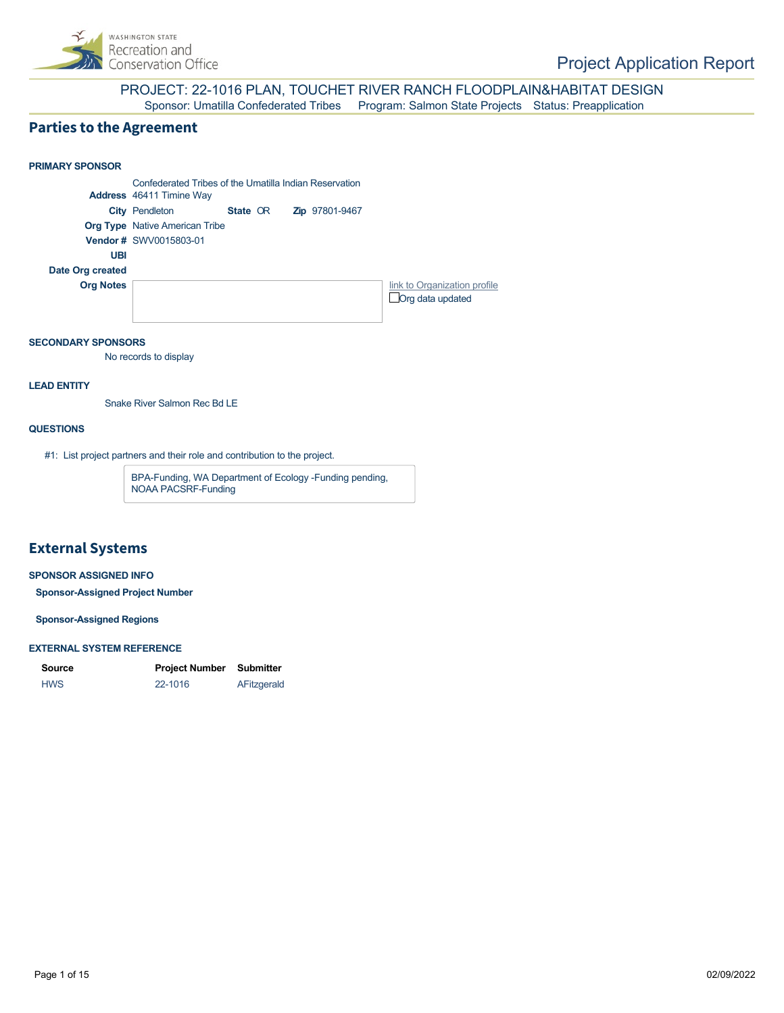

#### PROJECT: 22-1016 PLAN, TOUCHET RIVER RANCH FLOODPLAIN&HABITAT DESIGN Sponsor: Umatilla Confederated Tribes Program: Salmon State Projects Status: Preapplication

### **Parties to the Agreement**

### **PRIMARY SPONSOR** Confederated Tribes of the Umatilla Indian Reservation **Address** 46411 Timine Way **City Pendleton State OR Org Type** Native American Tribe **Vendor #** SWV0015803-01 **UBI Date Org created Org Notes [link to Organization profile](https://secure.rco.wa.gov/PRISM/Sponsor/My/Organization/Index/1576) Org data updated** Zip 97801-9467

#### **SECONDARY SPONSORS**

No records to display

#### **LEAD ENTITY**

Snake River Salmon Rec Bd LE

#### **QUESTIONS**

#1: List project partners and their role and contribution to the project.

BPA-Funding, WA Department of Ecology -Funding pending, NOAA PACSRF-Funding

### **External Systems**

#### **SPONSOR ASSIGNED INFO**

**Sponsor-Assigned Project Number**

**Sponsor-Assigned Regions**

#### **EXTERNAL SYSTEM REFERENCE**

| Source     | <b>Project Number Submitter</b> |             |
|------------|---------------------------------|-------------|
| <b>HWS</b> | 22-1016                         | AFitzgerald |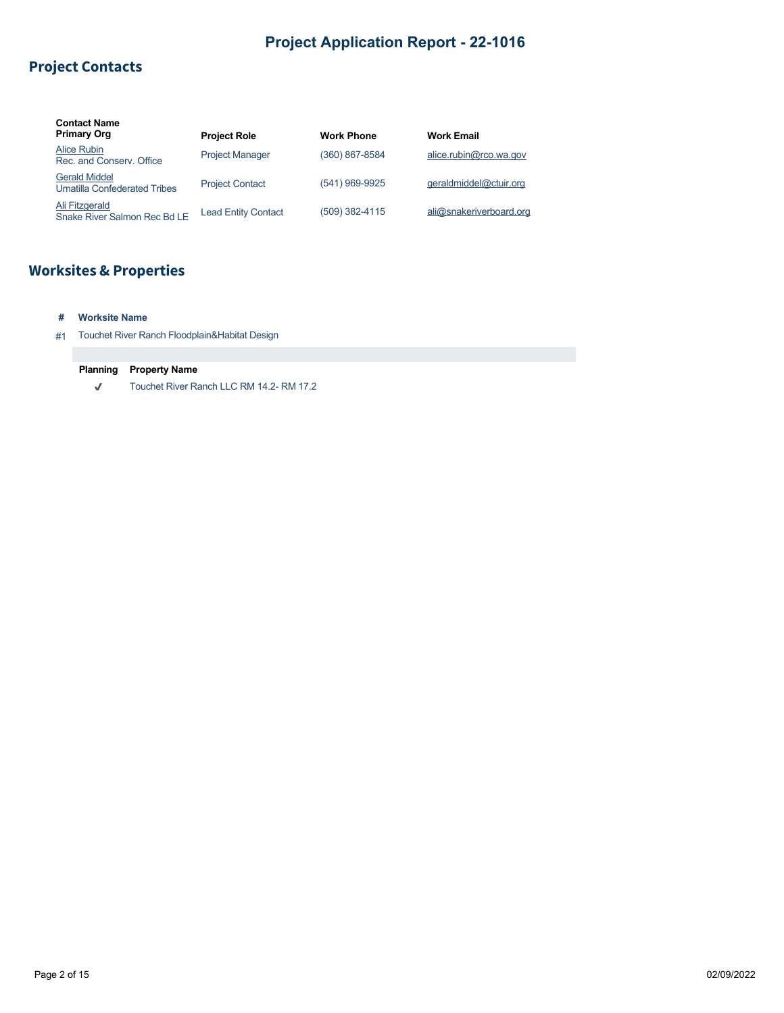# **Project Contacts**

| <b>Contact Name</b><br><b>Primary Org</b>                   | <b>Project Role</b>        | <b>Work Phone</b> | <b>Work Email</b>       |
|-------------------------------------------------------------|----------------------------|-------------------|-------------------------|
| Alice Rubin<br>Rec. and Conserv. Office                     | <b>Project Manager</b>     | (360) 867-8584    | alice.rubin@rco.wa.gov  |
| <b>Gerald Middel</b><br><b>Umatilla Confederated Tribes</b> | <b>Project Contact</b>     | (541) 969-9925    | geraldmiddel@ctuir.org  |
| Ali Fitzgerald<br>Snake River Salmon Rec Bd LE              | <b>Lead Entity Contact</b> | (509) 382-4115    | ali@snakeriverboard.org |

# **Worksites & Properties**

- **# Worksite Name**
- #1 Touchet River Ranch Floodplain&Habitat Design

#### **Planning Property Name**

 $\checkmark$ Touchet River Ranch LLC RM 14.2- RM 17.2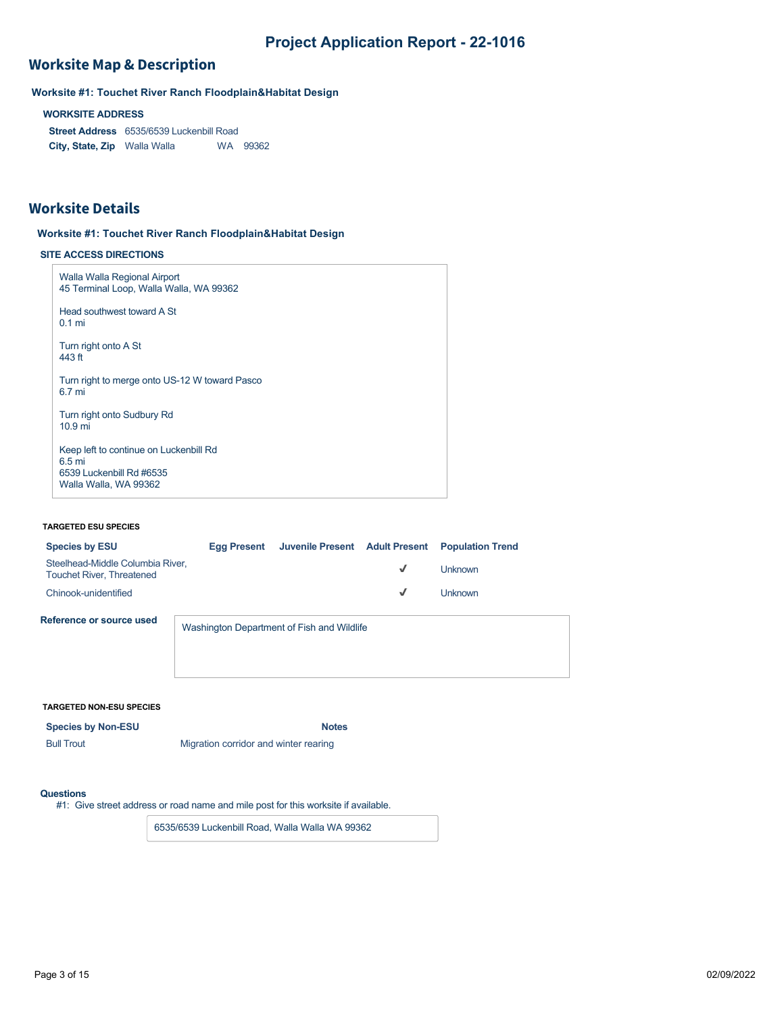## **Worksite Map & Description**

**Worksite #1: Touchet River Ranch Floodplain&Habitat Design**

**WORKSITE ADDRESS**

**Street Address** 6535/6539 Luckenbill Road **City, State, Zip** Walla Walla WA 99362

### **Worksite Details**

#### **Worksite #1: Touchet River Ranch Floodplain&Habitat Design**

#### **SITE ACCESS DIRECTIONS**

| Walla Walla Regional Airport<br>45 Terminal Loop, Walla Walla, WA 99362                                          |  |
|------------------------------------------------------------------------------------------------------------------|--|
| Head southwest toward A St<br>$0.1$ mi                                                                           |  |
| Turn right onto A St<br>443 ft                                                                                   |  |
| Turn right to merge onto US-12 W toward Pasco<br>6.7 mi                                                          |  |
| Turn right onto Sudbury Rd<br>10.9 <sub>mi</sub>                                                                 |  |
| Keep left to continue on Luckenbill Rd<br>6.5 <sub>mi</sub><br>6539 Luckenbill Rd #6535<br>Walla Walla, WA 99362 |  |

#### **TARGETED ESU SPECIES**

| <b>Species by ESU</b>                                                | Eaa Present                                | Juvenile Present Adult Present Population Trend |              |           |
|----------------------------------------------------------------------|--------------------------------------------|-------------------------------------------------|--------------|-----------|
| Steelhead-Middle Columbia River,<br><b>Touchet River, Threatened</b> |                                            |                                                 | $\checkmark$ | l Jnknown |
| Chinook-unidentified                                                 |                                            |                                                 | $\checkmark$ | l Inknown |
| Reference or source used                                             | Washington Department of Fish and Wildlife |                                                 |              |           |

#### **TARGETED NON-ESU SPECIES**

**Species by Non-ESU Notes** Bull Trout **Migration corridor and winter rearing** 

#### **Questions**

#1: Give street address or road name and mile post for this worksite if available.

6535/6539 Luckenbill Road, Walla Walla WA 99362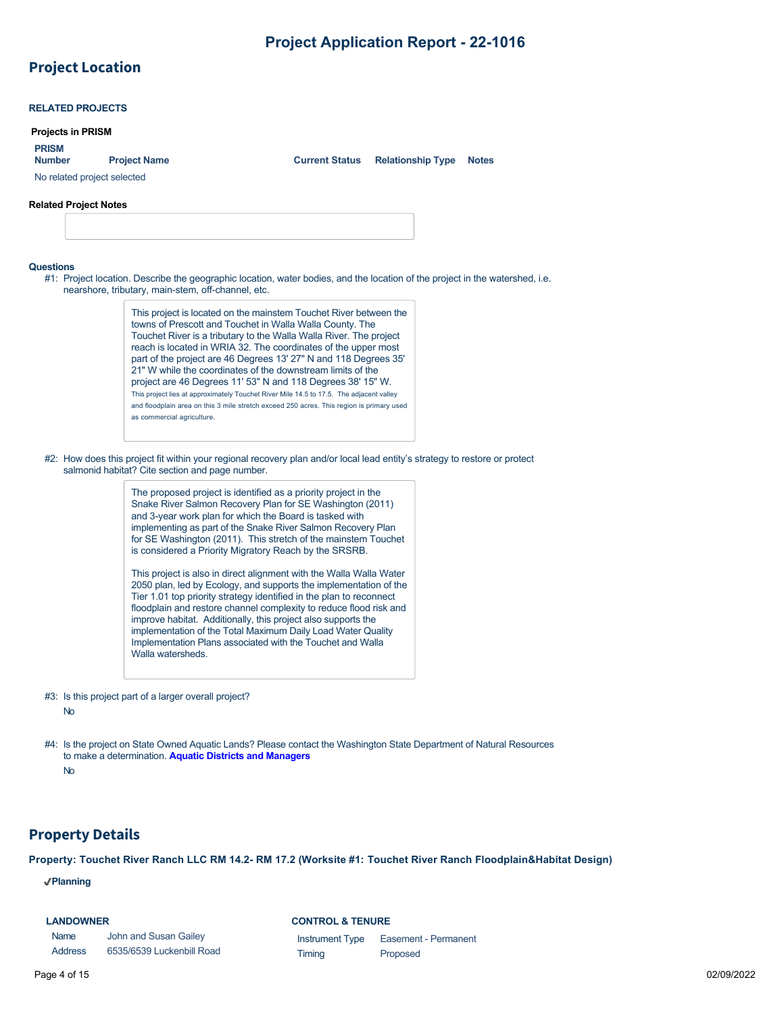# **Project Location**

|                               | <b>RELATED PROJECTS</b>      |                                                                                                                                                                                                                                                                                                                                                                                                   |                                                                                                                                                                                                                                                                                                                                                                                                                                                                                                                                                                                                                                                                                                                                                                                                                                                                             |                                         |  |              |  |
|-------------------------------|------------------------------|---------------------------------------------------------------------------------------------------------------------------------------------------------------------------------------------------------------------------------------------------------------------------------------------------------------------------------------------------------------------------------------------------|-----------------------------------------------------------------------------------------------------------------------------------------------------------------------------------------------------------------------------------------------------------------------------------------------------------------------------------------------------------------------------------------------------------------------------------------------------------------------------------------------------------------------------------------------------------------------------------------------------------------------------------------------------------------------------------------------------------------------------------------------------------------------------------------------------------------------------------------------------------------------------|-----------------------------------------|--|--------------|--|
|                               | <b>Projects in PRISM</b>     |                                                                                                                                                                                                                                                                                                                                                                                                   |                                                                                                                                                                                                                                                                                                                                                                                                                                                                                                                                                                                                                                                                                                                                                                                                                                                                             |                                         |  |              |  |
| <b>PRISM</b><br><b>Number</b> |                              | <b>Project Name</b>                                                                                                                                                                                                                                                                                                                                                                               |                                                                                                                                                                                                                                                                                                                                                                                                                                                                                                                                                                                                                                                                                                                                                                                                                                                                             | <b>Current Status Relationship Type</b> |  | <b>Notes</b> |  |
|                               |                              | No related project selected                                                                                                                                                                                                                                                                                                                                                                       |                                                                                                                                                                                                                                                                                                                                                                                                                                                                                                                                                                                                                                                                                                                                                                                                                                                                             |                                         |  |              |  |
|                               | <b>Related Project Notes</b> |                                                                                                                                                                                                                                                                                                                                                                                                   |                                                                                                                                                                                                                                                                                                                                                                                                                                                                                                                                                                                                                                                                                                                                                                                                                                                                             |                                         |  |              |  |
|                               |                              |                                                                                                                                                                                                                                                                                                                                                                                                   |                                                                                                                                                                                                                                                                                                                                                                                                                                                                                                                                                                                                                                                                                                                                                                                                                                                                             |                                         |  |              |  |
|                               |                              |                                                                                                                                                                                                                                                                                                                                                                                                   |                                                                                                                                                                                                                                                                                                                                                                                                                                                                                                                                                                                                                                                                                                                                                                                                                                                                             |                                         |  |              |  |
| <b>Questions</b>              |                              | #1: Project location. Describe the geographic location, water bodies, and the location of the project in the watershed, i.e.<br>nearshore, tributary, main-stem, off-channel, etc.<br>as commercial agriculture.<br>#2: How does this project fit within your regional recovery plan and/or local lead entity's strategy to restore or protect<br>salmonid habitat? Cite section and page number. | This project is located on the mainstem Touchet River between the<br>towns of Prescott and Touchet in Walla Walla County. The<br>Touchet River is a tributary to the Walla Walla River. The project<br>reach is located in WRIA 32. The coordinates of the upper most<br>part of the project are 46 Degrees 13' 27" N and 118 Degrees 35'<br>21" W while the coordinates of the downstream limits of the<br>project are 46 Degrees 11' 53" N and 118 Degrees 38' 15" W.<br>This project lies at approximately Touchet River Mile 14.5 to 17.5. The adjacent valley<br>and floodplain area on this 3 mile stretch exceed 250 acres. This region is primary used                                                                                                                                                                                                              |                                         |  |              |  |
|                               |                              | Walla watersheds.                                                                                                                                                                                                                                                                                                                                                                                 | The proposed project is identified as a priority project in the<br>Snake River Salmon Recovery Plan for SE Washington (2011)<br>and 3-year work plan for which the Board is tasked with<br>implementing as part of the Snake River Salmon Recovery Plan<br>for SE Washington (2011). This stretch of the mainstem Touchet<br>is considered a Priority Migratory Reach by the SRSRB.<br>This project is also in direct alignment with the Walla Walla Water<br>2050 plan, led by Ecology, and supports the implementation of the<br>Tier 1.01 top priority strategy identified in the plan to reconnect<br>floodplain and restore channel complexity to reduce flood risk and<br>improve habitat. Additionally, this project also supports the<br>implementation of the Total Maximum Daily Load Water Quality<br>Implementation Plans associated with the Touchet and Walla |                                         |  |              |  |
|                               | No                           | #3: Is this project part of a larger overall project?                                                                                                                                                                                                                                                                                                                                             |                                                                                                                                                                                                                                                                                                                                                                                                                                                                                                                                                                                                                                                                                                                                                                                                                                                                             |                                         |  |              |  |
|                               | No                           | #4: Is the project on State Owned Aquatic Lands? Please contact the Washington State Department of Natural Resources<br>to make a determination. Aquatic Districts and Managers                                                                                                                                                                                                                   |                                                                                                                                                                                                                                                                                                                                                                                                                                                                                                                                                                                                                                                                                                                                                                                                                                                                             |                                         |  |              |  |

## **Property Details**

**Property: Touchet River Ranch LLC RM 14.2- RM 17.2 (Worksite #1: Touchet River Ranch Floodplain&Habitat Design)**

**Planning**

| <b>LANDOWNER</b> |                           |
|------------------|---------------------------|
| <b>Name</b>      | John and Susan Gailey     |
| <b>Address</b>   | 6535/6539 Luckenbill Road |

**CONTROL & TENURE**

| <b>Instrument Type</b> | Easement - Permanent |
|------------------------|----------------------|
| Timing                 | Proposed             |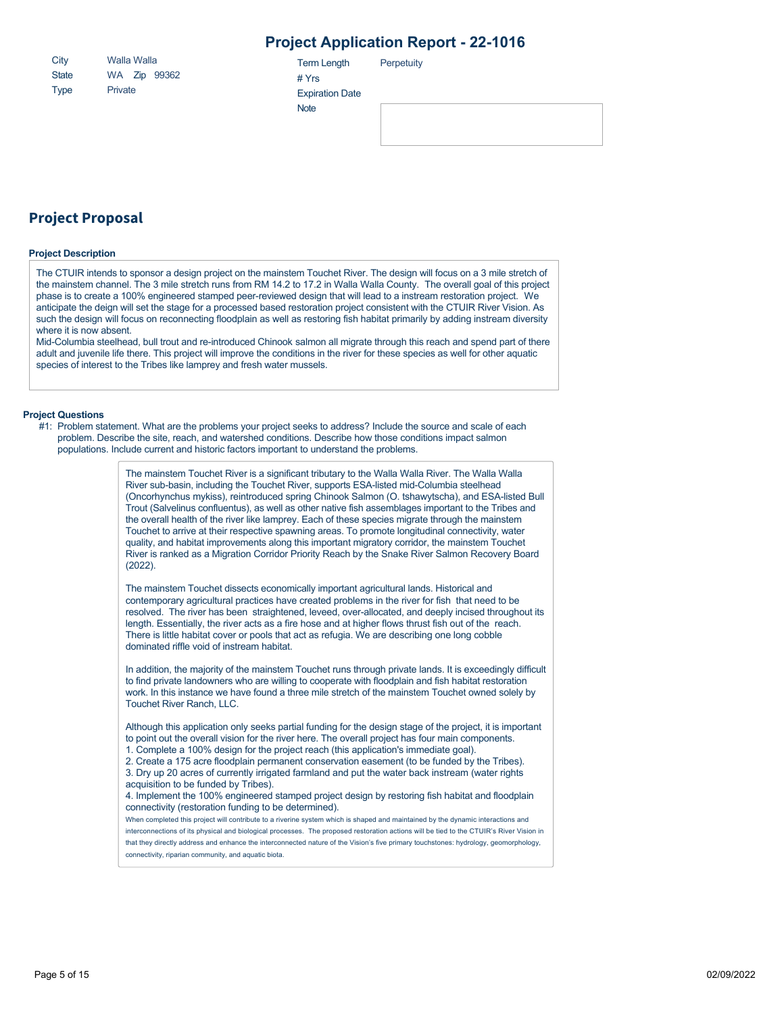| City         | Walla Walla |  |              |  |
|--------------|-------------|--|--------------|--|
| <b>State</b> |             |  | WA Zip 99362 |  |
| <b>Type</b>  | Private     |  |              |  |

Term Length **Perpetuity** 

**Project Proposal**

#### **Project Description**

The CTUIR intends to sponsor a design project on the mainstem Touchet River. The design will focus on a 3 mile stretch of the mainstem channel. The 3 mile stretch runs from RM 14.2 to 17.2 in Walla Walla County. The overall goal of this project phase is to create a 100% engineered stamped peer-reviewed design that will lead to a instream restoration project. We anticipate the deign will set the stage for a processed based restoration project consistent with the CTUIR River Vision. As such the design will focus on reconnecting floodplain as well as restoring fish habitat primarily by adding instream diversity where it is now absent.

# Yrs

**Note** 

Expiration Date

Mid-Columbia steelhead, bull trout and re-introduced Chinook salmon all migrate through this reach and spend part of there adult and juvenile life there. This project will improve the conditions in the river for these species as well for other aquatic species of interest to the Tribes like lamprey and fresh water mussels.

#### **Project Questions**

#1: Problem statement. What are the problems your project seeks to address? Include the source and scale of each problem. Describe the site, reach, and watershed conditions. Describe how those conditions impact salmon populations. Include current and historic factors important to understand the problems.

> The mainstem Touchet River is a significant tributary to the Walla Walla River. The Walla Walla River sub-basin, including the Touchet River, supports ESA-listed mid-Columbia steelhead (Oncorhynchus mykiss), reintroduced spring Chinook Salmon (O. tshawytscha), and ESA-listed Bull Trout (Salvelinus confluentus), as well as other native fish assemblages important to the Tribes and the overall health of the river like lamprey. Each of these species migrate through the mainstem Touchet to arrive at their respective spawning areas. To promote longitudinal connectivity, water quality, and habitat improvements along this important migratory corridor, the mainstem Touchet River is ranked as a Migration Corridor Priority Reach by the Snake River Salmon Recovery Board (2022).

> The mainstem Touchet dissects economically important agricultural lands. Historical and contemporary agricultural practices have created problems in the river for fish that need to be resolved. The river has been straightened, leveed, over-allocated, and deeply incised throughout its length. Essentially, the river acts as a fire hose and at higher flows thrust fish out of the reach. There is little habitat cover or pools that act as refugia. We are describing one long cobble dominated riffle void of instream habitat.

> In addition, the majority of the mainstem Touchet runs through private lands. It is exceedingly difficult to find private landowners who are willing to cooperate with floodplain and fish habitat restoration work. In this instance we have found a three mile stretch of the mainstem Touchet owned solely by Touchet River Ranch, LLC.

Although this application only seeks partial funding for the design stage of the project, it is important to point out the overall vision for the river here. The overall project has four main components.

1. Complete a 100% design for the project reach (this application's immediate goal).

2. Create a 175 acre floodplain permanent conservation easement (to be funded by the Tribes).

3. Dry up 20 acres of currently irrigated farmland and put the water back instream (water rights

acquisition to be funded by Tribes).

4. Implement the 100% engineered stamped project design by restoring fish habitat and floodplain connectivity (restoration funding to be determined).

When completed this project will contribute to a riverine system which is shaped and maintained by the dynamic interactions and interconnections of its physical and biological processes. The proposed restoration actions will be tied to the CTUIR's River Vision in that they directly address and enhance the interconnected nature of the Vision's five primary touchstones: hydrology, geomorphology, connectivity, riparian community, and aquatic biota.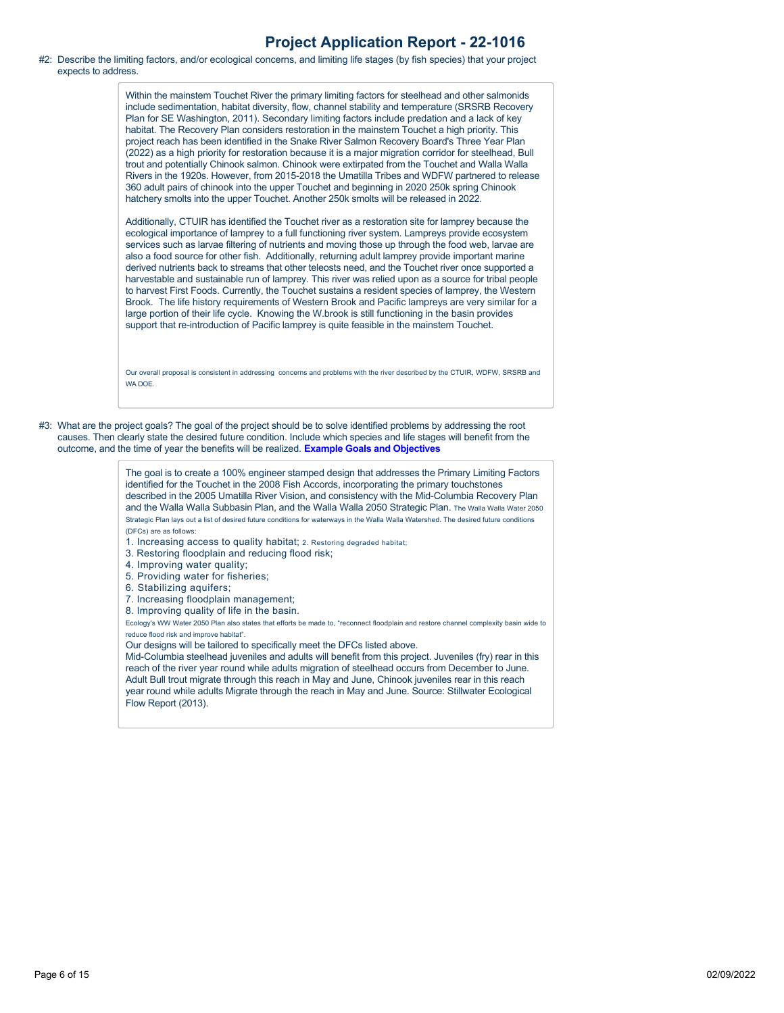#### #2: Describe the limiting factors, and/or ecological concerns, and limiting life stages (by fish species) that your project expects to address.

Within the mainstem Touchet River the primary limiting factors for steelhead and other salmonids include sedimentation, habitat diversity, flow, channel stability and temperature (SRSRB Recovery Plan for SE Washington, 2011). Secondary limiting factors include predation and a lack of key habitat. The Recovery Plan considers restoration in the mainstem Touchet a high priority. This project reach has been identified in the Snake River Salmon Recovery Board's Three Year Plan (2022) as a high priority for restoration because it is a major migration corridor for steelhead, Bull trout and potentially Chinook salmon. Chinook were extirpated from the Touchet and Walla Walla Rivers in the 1920s. However, from 2015-2018 the Umatilla Tribes and WDFW partnered to release 360 adult pairs of chinook into the upper Touchet and beginning in 2020 250k spring Chinook hatchery smolts into the upper Touchet. Another 250k smolts will be released in 2022.

Additionally, CTUIR has identified the Touchet river as a restoration site for lamprey because the ecological importance of lamprey to a full functioning river system. Lampreys provide ecosystem services such as larvae filtering of nutrients and moving those up through the food web, larvae are also a food source for other fish. Additionally, returning adult lamprey provide important marine derived nutrients back to streams that other teleosts need, and the Touchet river once supported a harvestable and sustainable run of lamprey. This river was relied upon as a source for tribal people to harvest First Foods. Currently, the Touchet sustains a resident species of lamprey, the Western Brook. The life history requirements of Western Brook and Pacific lampreys are very similar for a large portion of their life cycle. Knowing the W.brook is still functioning in the basin provides support that re-introduction of Pacific lamprey is quite feasible in the mainstem Touchet.

Our overall proposal is consistent in addressing concerns and problems with the river described by the CTUIR, WDFW, SRSRB and WA DOE.

#3: What are the project goals? The goal of the project should be to solve identified problems by addressing the root causes. Then clearly state the desired future condition. Include which species and life stages will benefit from the outcome, and the time of year the benefits will be realized. **[Example Goals and Objectives](https://rco.wa.gov/wp-content/uploads/2020/02/SRFB-Goals-and-Objectives-Examples.docx)**

> The goal is to create a 100% engineer stamped design that addresses the Primary Limiting Factors identified for the Touchet in the 2008 Fish Accords, incorporating the primary touchstones described in the 2005 Umatilla River Vision, and consistency with the Mid-Columbia Recovery Plan and the Walla Walla Subbasin Plan, and the Walla Walla 2050 Strategic Plan. The Walla Walla Water 2050 Strategic Plan lays out a list of desired future conditions for waterways in the Walla Walla Watershed. The desired future conditions (DFCs) are as follows:

- 1. Increasing access to quality habitat; 2. Restoring degraded habitat;
- 3. Restoring floodplain and reducing flood risk;
- 4. Improving water quality;
- 5. Providing water for fisheries;
- 6. Stabilizing aquifers;
- 7. Increasing floodplain management;
- 8. Improving quality of life in the basin.

Ecology's WW Water 2050 Plan also states that efforts be made to, "reconnect floodplain and restore channel complexity basin wide to reduce flood risk and improve habitat".

Our designs will be tailored to specifically meet the DFCs listed above.

Mid-Columbia steelhead juveniles and adults will benefit from this project. Juveniles (fry) rear in this reach of the river year round while adults migration of steelhead occurs from December to June. Adult Bull trout migrate through this reach in May and June, Chinook juveniles rear in this reach year round while adults Migrate through the reach in May and June. Source: Stillwater Ecological Flow Report (2013).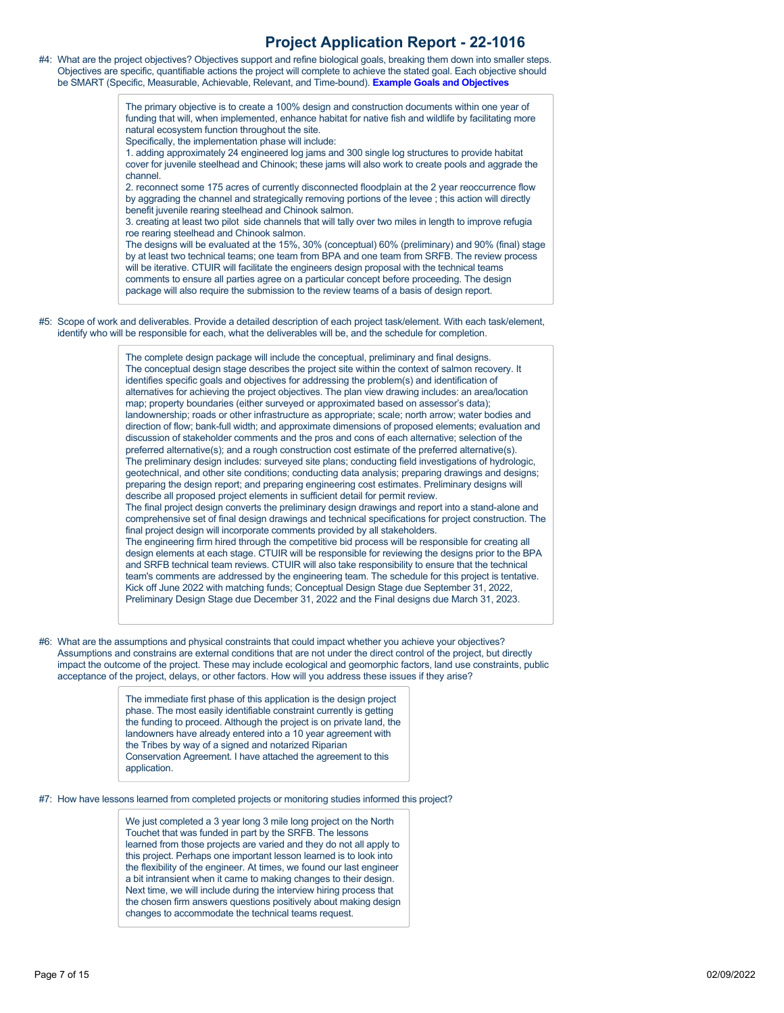#4: What are the project objectives? Objectives support and refine biological goals, breaking them down into smaller steps. Objectives are specific, quantifiable actions the project will complete to achieve the stated goal. Each objective should be SMART (Specific, Measurable, Achievable, Relevant, and Time-bound). **[Example Goals and Objectives](https://rco.wa.gov/wp-content/uploads/2020/02/SRFB-Goals-and-Objectives-Examples.docx)**

> The primary objective is to create a 100% design and construction documents within one year of funding that will, when implemented, enhance habitat for native fish and wildlife by facilitating more natural ecosystem function throughout the site.

Specifically, the implementation phase will include:

1. adding approximately 24 engineered log jams and 300 single log structures to provide habitat cover for juvenile steelhead and Chinook; these jams will also work to create pools and aggrade the channel.

2. reconnect some 175 acres of currently disconnected floodplain at the 2 year reoccurrence flow by aggrading the channel and strategically removing portions of the levee ; this action will directly benefit juvenile rearing steelhead and Chinook salmon.

3. creating at least two pilot side channels that will tally over two miles in length to improve refugia roe rearing steelhead and Chinook salmon.

The designs will be evaluated at the 15%, 30% (conceptual) 60% (preliminary) and 90% (final) stage by at least two technical teams; one team from BPA and one team from SRFB. The review process will be iterative. CTUIR will facilitate the engineers design proposal with the technical teams comments to ensure all parties agree on a particular concept before proceeding. The design package will also require the submission to the review teams of a basis of design report.

#5: Scope of work and deliverables. Provide a detailed description of each project task/element. With each task/element, identify who will be responsible for each, what the deliverables will be, and the schedule for completion.

> The complete design package will include the conceptual, preliminary and final designs. The conceptual design stage describes the project site within the context of salmon recovery. It identifies specific goals and objectives for addressing the problem(s) and identification of alternatives for achieving the project objectives. The plan view drawing includes: an area/location map; property boundaries (either surveyed or approximated based on assessor's data); landownership; roads or other infrastructure as appropriate; scale; north arrow; water bodies and direction of flow; bank-full width; and approximate dimensions of proposed elements; evaluation and discussion of stakeholder comments and the pros and cons of each alternative; selection of the preferred alternative(s); and a rough construction cost estimate of the preferred alternative(s). The preliminary design includes: surveyed site plans; conducting field investigations of hydrologic, geotechnical, and other site conditions; conducting data analysis; preparing drawings and designs; preparing the design report; and preparing engineering cost estimates. Preliminary designs will describe all proposed project elements in sufficient detail for permit review. The final project design converts the preliminary design drawings and report into a stand-alone and comprehensive set of final design drawings and technical specifications for project construction. The final project design will incorporate comments provided by all stakeholders. The engineering firm hired through the competitive bid process will be responsible for creating all design elements at each stage. CTUIR will be responsible for reviewing the designs prior to the BPA and SRFB technical team reviews. CTUIR will also take responsibility to ensure that the technical team's comments are addressed by the engineering team. The schedule for this project is tentative. Kick off June 2022 with matching funds; Conceptual Design Stage due September 31, 2022, Preliminary Design Stage due December 31, 2022 and the Final designs due March 31, 2023.

#6: What are the assumptions and physical constraints that could impact whether you achieve your objectives? Assumptions and constrains are external conditions that are not under the direct control of the project, but directly impact the outcome of the project. These may include ecological and geomorphic factors, land use constraints, public acceptance of the project, delays, or other factors. How will you address these issues if they arise?

> The immediate first phase of this application is the design project phase. The most easily identifiable constraint currently is getting the funding to proceed. Although the project is on private land, the landowners have already entered into a 10 year agreement with the Tribes by way of a signed and notarized Riparian Conservation Agreement. I have attached the agreement to this application.

#7: How have lessons learned from completed projects or monitoring studies informed this project?

We just completed a 3 year long 3 mile long project on the North Touchet that was funded in part by the SRFB. The lessons learned from those projects are varied and they do not all apply to this project. Perhaps one important lesson learned is to look into the flexibility of the engineer. At times, we found our last engineer a bit intransient when it came to making changes to their design. Next time, we will include during the interview hiring process that the chosen firm answers questions positively about making design changes to accommodate the technical teams request.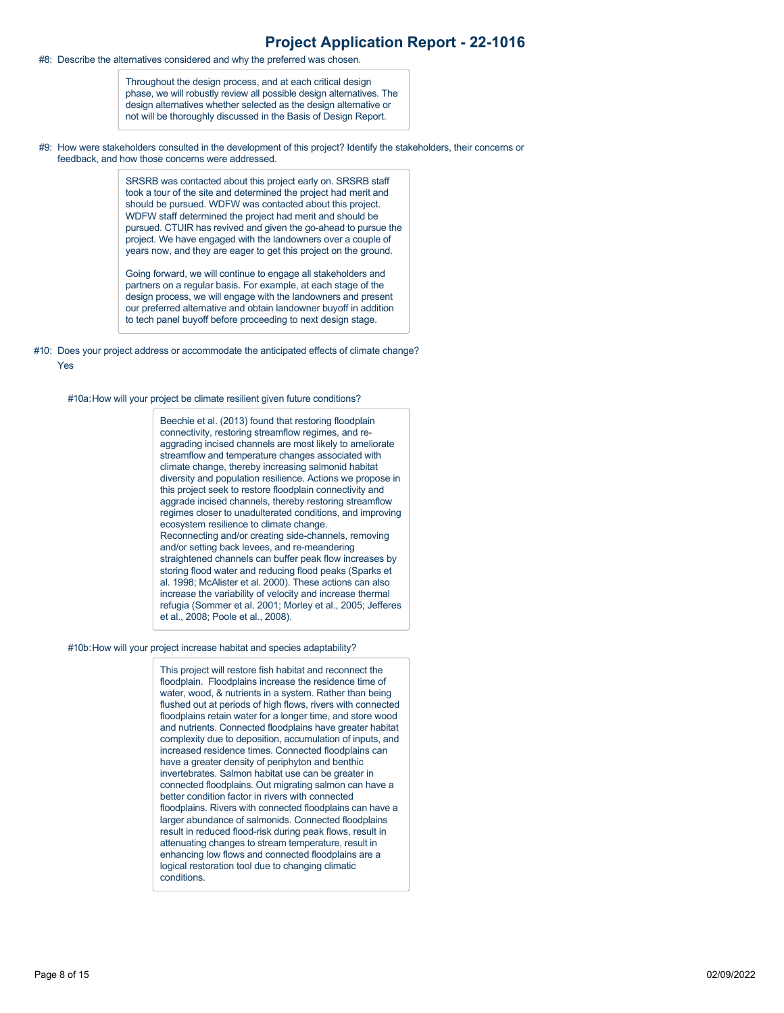#8: Describe the alternatives considered and why the preferred was chosen.

Throughout the design process, and at each critical design phase, we will robustly review all possible design alternatives. The design alternatives whether selected as the design alternative or not will be thoroughly discussed in the Basis of Design Report.

#9: How were stakeholders consulted in the development of this project? Identify the stakeholders, their concerns or feedback, and how those concerns were addressed.

> SRSRB was contacted about this project early on. SRSRB staff took a tour of the site and determined the project had merit and should be pursued. WDFW was contacted about this project. WDFW staff determined the project had merit and should be pursued. CTUIR has revived and given the go-ahead to pursue the project. We have engaged with the landowners over a couple of years now, and they are eager to get this project on the ground.

Going forward, we will continue to engage all stakeholders and partners on a regular basis. For example, at each stage of the design process, we will engage with the landowners and present our preferred alternative and obtain landowner buyoff in addition to tech panel buyoff before proceeding to next design stage.

#10: Does your project address or accommodate the anticipated effects of climate change? Yes

#10a:How will your project be climate resilient given future conditions?

Beechie et al. (2013) found that restoring floodplain connectivity, restoring streamflow regimes, and reaggrading incised channels are most likely to ameliorate streamflow and temperature changes associated with climate change, thereby increasing salmonid habitat diversity and population resilience. Actions we propose in this project seek to restore floodplain connectivity and aggrade incised channels, thereby restoring streamflow regimes closer to unadulterated conditions, and improving ecosystem resilience to climate change. Reconnecting and/or creating side-channels, removing and/or setting back levees, and re-meandering straightened channels can buffer peak flow increases by storing flood water and reducing flood peaks (Sparks et al. 1998; McAlister et al. 2000). These actions can also increase the variability of velocity and increase thermal refugia (Sommer et al. 2001; Morley et al., 2005; Jefferes et al., 2008; Poole et al., 2008).

#### #10b:How will your project increase habitat and species adaptability?

This project will restore fish habitat and reconnect the floodplain. Floodplains increase the residence time of water, wood, & nutrients in a system. Rather than being flushed out at periods of high flows, rivers with connected floodplains retain water for a longer time, and store wood and nutrients. Connected floodplains have greater habitat complexity due to deposition, accumulation of inputs, and increased residence times. Connected floodplains can have a greater density of periphyton and benthic invertebrates. Salmon habitat use can be greater in connected floodplains. Out migrating salmon can have a better condition factor in rivers with connected floodplains. Rivers with connected floodplains can have a larger abundance of salmonids. Connected floodplains result in reduced flood-risk during peak flows, result in attenuating changes to stream temperature, result in enhancing low flows and connected floodplains are a logical restoration tool due to changing climatic conditions.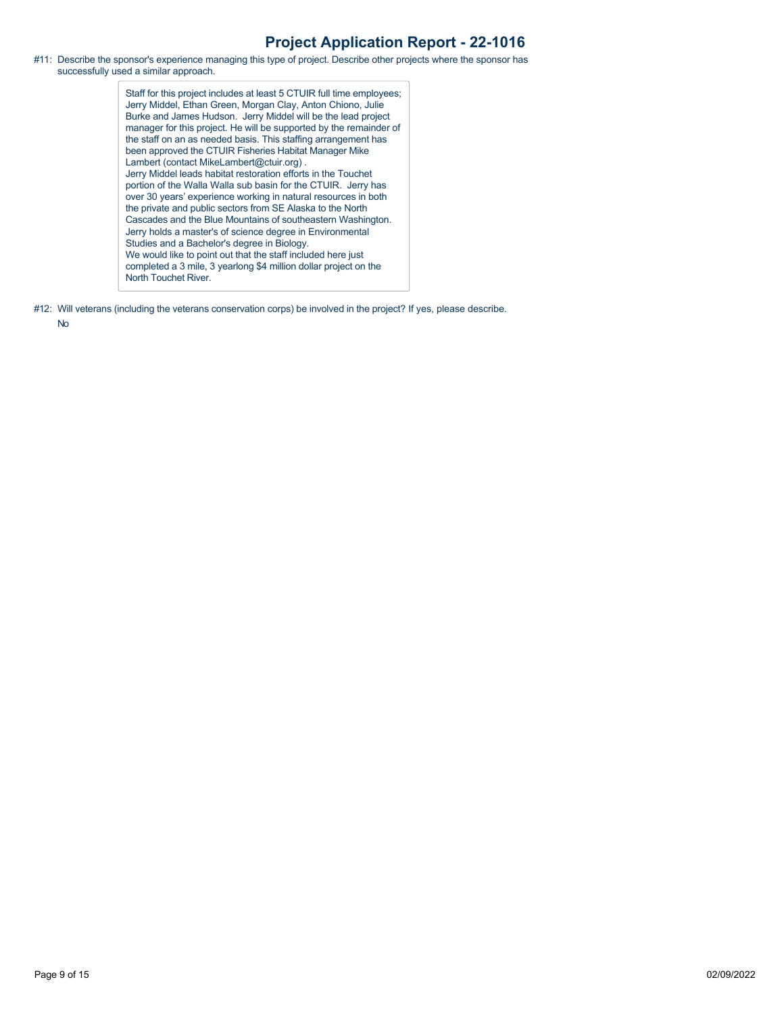#11: Describe the sponsor's experience managing this type of project. Describe other projects where the sponsor has successfully used a similar approach.

> Staff for this project includes at least 5 CTUIR full time employees; Jerry Middel, Ethan Green, Morgan Clay, Anton Chiono, Julie Burke and James Hudson. Jerry Middel will be the lead project manager for this project. He will be supported by the remainder of the staff on an as needed basis. This staffing arrangement has been approved the CTUIR Fisheries Habitat Manager Mike Lambert (contact MikeLambert@ctuir.org) . Jerry Middel leads habitat restoration efforts in the Touchet portion of the Walla Walla sub basin for the CTUIR. Jerry has over 30 years' experience working in natural resources in both the private and public sectors from SE Alaska to the North Cascades and the Blue Mountains of southeastern Washington. Jerry holds a master's of science degree in Environmental Studies and a Bachelor's degree in Biology. We would like to point out that the staff included here just completed a 3 mile, 3 yearlong \$4 million dollar project on the North Touchet River.

#12: Will veterans (including the veterans conservation corps) be involved in the project? If yes, please describe.

No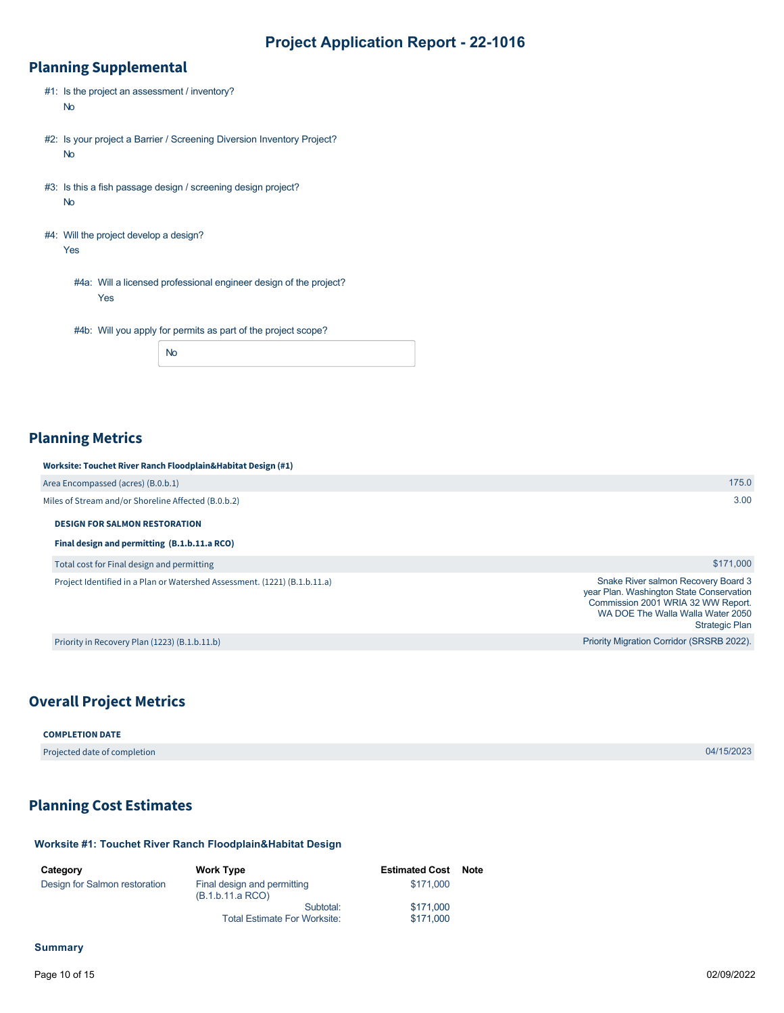## **Planning Supplemental**

| #1: Is the project an assessment / inventory?<br><b>No</b>                          |
|-------------------------------------------------------------------------------------|
| #2: Is your project a Barrier / Screening Diversion Inventory Project?<br><b>No</b> |
| #3: Is this a fish passage design / screening design project?<br><b>No</b>          |
| #4: Will the project develop a design?<br>Yes                                       |
| #4a: Will a licensed professional engineer design of the project?<br>Yes            |
| #4b: Will you apply for permits as part of the project scope?                       |
| No                                                                                  |

## **Planning Metrics**

#### **Worksite: Touchet River Ranch Floodplain&Habitat Design (#1)**

| Area Encompassed (acres) (B.0.b.1)                  | 175.0 |
|-----------------------------------------------------|-------|
| Miles of Stream and/or Shoreline Affected (B.0.b.2) | 3.00  |

#### **DESIGN FOR SALMON RESTORATION**

#### **Final design and permitting (B.1.b.11.a RCO)**

Total cost for Final design and permitting

Project Identified in a Plan or Watershed Assessment. (1221) (B.1.b.11.a)

Priority in Recovery Plan (1223) (B.1.b.11.b)

## **Overall Project Metrics**

#### **COMPLETION DATE**

Projected date of completion 04/15/2023

\$171,000

Strategic Plan

Snake River salmon Recovery Board 3 year Plan. Washington State Conservation Commission 2001 WRIA 32 WW Report. WA DOE The Walla Walla Water 2050

Priority Migration Corridor (SRSRB 2022).

## <span id="page-9-0"></span>**Planning Cost Estimates**

#### **Worksite #1: Touchet River Ranch Floodplain&Habitat Design**

| Category                      | <b>Work Type</b>                                | <b>Estimated Cost Note</b> |  |
|-------------------------------|-------------------------------------------------|----------------------------|--|
| Design for Salmon restoration | Final design and permitting<br>(B.1.b.11.a RCO) | \$171,000                  |  |
|                               | Subtotal:                                       | \$171,000                  |  |
|                               | <b>Total Estimate For Worksite:</b>             | \$171,000                  |  |

#### **Summary**

Page 10 of 15 02/09/2022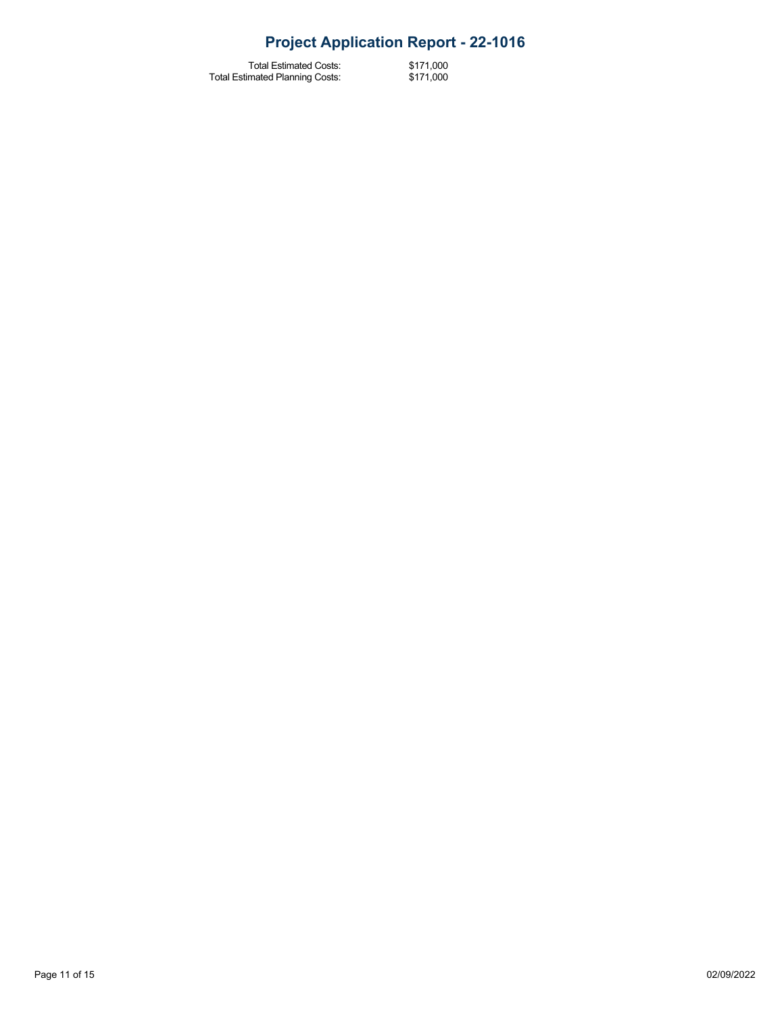Total Estimated Costs: Total Estimated Planning Costs:

\$171,000 \$171,000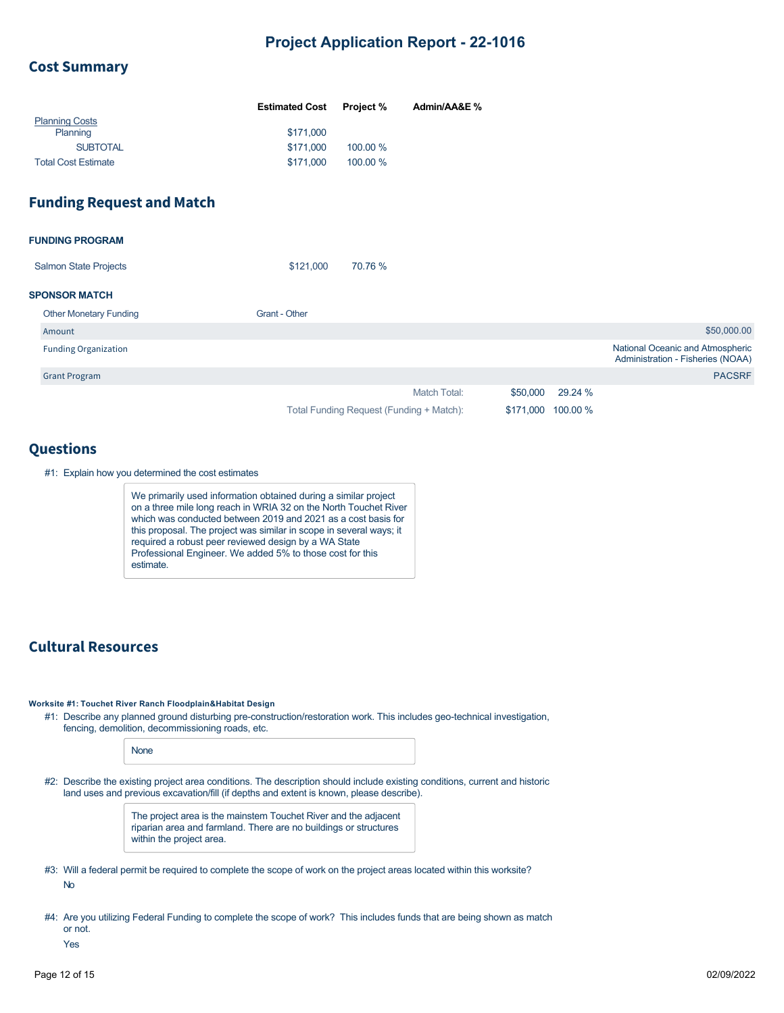### **Cost Summary**

|                            | <b>Estimated Cost</b> | <b>Project %</b> | Admin/AA&E % |
|----------------------------|-----------------------|------------------|--------------|
| <b>Planning Costs</b>      |                       |                  |              |
| Planning                   | \$171,000             |                  |              |
| <b>SUBTOTAL</b>            | \$171,000             | 100.00 %         |              |
| <b>Total Cost Estimate</b> | \$171,000             | 100.00 %         |              |

## **Funding Request and Match**

| <b>FUNDING PROGRAM</b>        |                                          |                     |           |          |                                                                       |
|-------------------------------|------------------------------------------|---------------------|-----------|----------|-----------------------------------------------------------------------|
| <b>Salmon State Projects</b>  | 70.76 %<br>\$121,000                     |                     |           |          |                                                                       |
| <b>SPONSOR MATCH</b>          |                                          |                     |           |          |                                                                       |
| <b>Other Monetary Funding</b> | Grant - Other                            |                     |           |          |                                                                       |
| Amount                        |                                          |                     |           |          | \$50,000.00                                                           |
| <b>Funding Organization</b>   |                                          |                     |           |          | National Oceanic and Atmospheric<br>Administration - Fisheries (NOAA) |
| <b>Grant Program</b>          |                                          |                     |           |          | <b>PACSRF</b>                                                         |
|                               |                                          | <b>Match Total:</b> | \$50,000  | 29.24 %  |                                                                       |
|                               | Total Funding Request (Funding + Match): |                     | \$171,000 | 100.00 % |                                                                       |

### **Questions**

#1: Explain how you determined the cost estimates

We primarily used information obtained during a similar project on a three mile long reach in WRIA 32 on the North Touchet River which was conducted between 2019 and 2021 as a cost basis for this proposal. The project was similar in scope in several ways; it required a robust peer reviewed design by a WA State Professional Engineer. We added 5% to those cost for this estimate.

## **Cultural Resources**

**Worksite #1: Touchet River Ranch Floodplain&Habitat Design**

#1: Describe any planned ground disturbing pre-construction/restoration work. This includes geo-technical investigation, fencing, demolition, decommissioning roads, etc.

None

#2: Describe the existing project area conditions. The description should include existing conditions, current and historic land uses and previous excavation/fill (if depths and extent is known, please describe).

> The project area is the mainstem Touchet River and the adjacent riparian area and farmland. There are no buildings or structures within the project area.

- #3: Will a federal permit be required to complete the scope of work on the project areas located within this worksite? No
- #4: Are you utilizing Federal Funding to complete the scope of work? This includes funds that are being shown as match or not.

Yes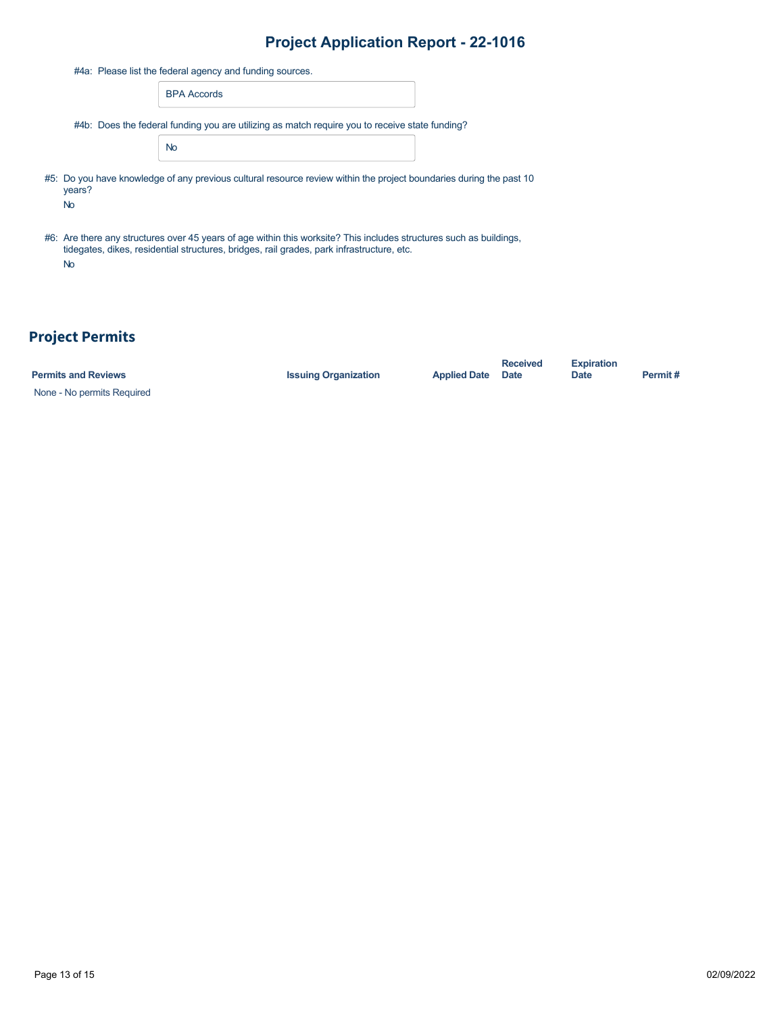| #4a: Please list the federal agency and funding sources. |                                                                                                                                                                                                                  |  |  |  |  |  |  |
|----------------------------------------------------------|------------------------------------------------------------------------------------------------------------------------------------------------------------------------------------------------------------------|--|--|--|--|--|--|
|                                                          | <b>BPA Accords</b>                                                                                                                                                                                               |  |  |  |  |  |  |
|                                                          | #4b: Does the federal funding you are utilizing as match require you to receive state funding?                                                                                                                   |  |  |  |  |  |  |
|                                                          | <b>No</b>                                                                                                                                                                                                        |  |  |  |  |  |  |
| years?<br><b>No</b>                                      | #5: Do you have knowledge of any previous cultural resource review within the project boundaries during the past 10                                                                                              |  |  |  |  |  |  |
| <b>No</b>                                                | #6: Are there any structures over 45 years of age within this worksite? This includes structures such as buildings,<br>tidegates, dikes, residential structures, bridges, rail grades, park infrastructure, etc. |  |  |  |  |  |  |

# **Project Permits**

None - No permits Required

**Permits and Reviews Issuing Organization Applied Date**

**Received Date**

**Expiration Date Permit #**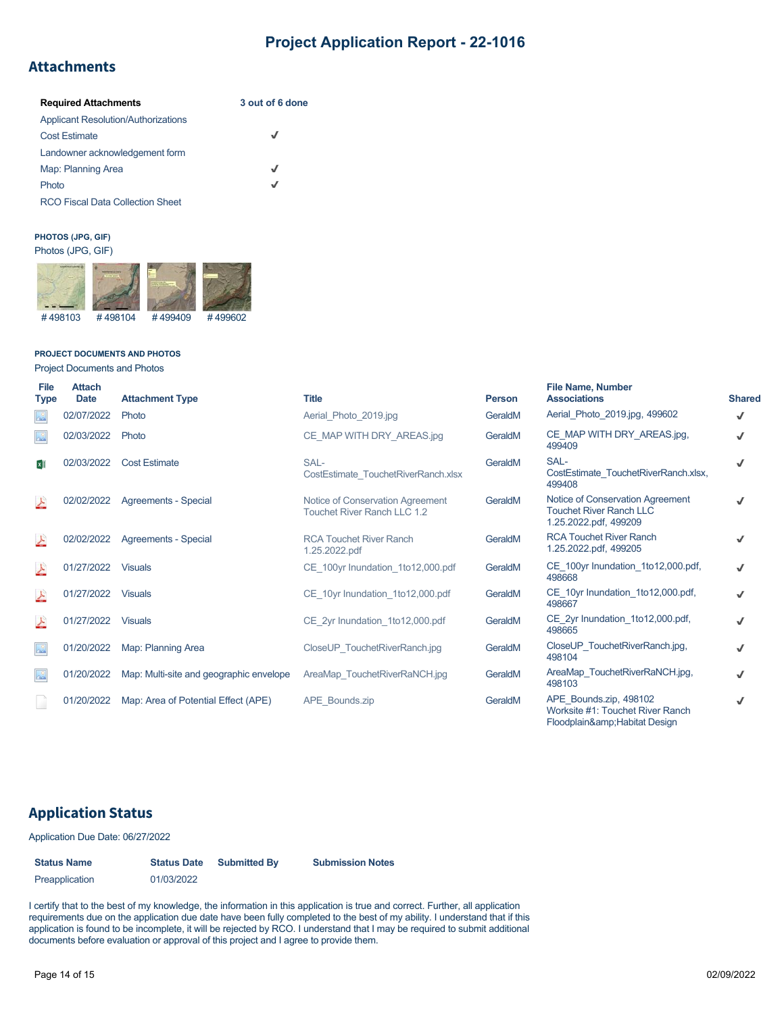## **Attachments**

| <b>Required Attachments</b>                | 3 out of 6 done |  |  |  |
|--------------------------------------------|-----------------|--|--|--|
| <b>Applicant Resolution/Authorizations</b> |                 |  |  |  |
| <b>Cost Estimate</b>                       | √               |  |  |  |
| Landowner acknowledgement form             |                 |  |  |  |
| Map: Planning Area                         | J               |  |  |  |
| Photo                                      | J               |  |  |  |
| <b>RCO Fiscal Data Collection Sheet</b>    |                 |  |  |  |

#### **PHOTOS (JPG, GIF)** Photos (JPG, GIF)



#### **PROJECT DOCUMENTS AND PHOTOS**

Project Documents and Photos

| File<br><b>Type</b> | <b>Attach</b><br><b>Date</b> | <b>Attachment Type</b>                  | <b>Title</b>                                                           | <b>Person</b> | <b>File Name, Number</b><br><b>Associations</b>                                             | <b>Shared</b> |
|---------------------|------------------------------|-----------------------------------------|------------------------------------------------------------------------|---------------|---------------------------------------------------------------------------------------------|---------------|
| $\sim$              | 02/07/2022                   | Photo                                   | Aerial Photo 2019.jpg                                                  | GeraldM       | Aerial Photo 2019.jpg, 499602                                                               | √             |
|                     | 02/03/2022                   | Photo                                   | CE MAP WITH DRY AREAS.jpg                                              | GeraldM       | CE MAP WITH DRY AREAS.jpg,<br>499409                                                        | J             |
|                     | 02/03/2022                   | <b>Cost Estimate</b>                    | SAL-<br>CostEstimate TouchetRiverRanch.xlsx                            | GeraldM       | SAL-<br>CostEstimate TouchetRiverRanch.xlsx,<br>499408                                      |               |
|                     | 02/02/2022                   | Agreements - Special                    | Notice of Conservation Agreement<br><b>Touchet River Ranch LLC 1.2</b> | GeraldM       | Notice of Conservation Agreement<br><b>Touchet River Ranch LLC</b><br>1.25.2022.pdf, 499209 |               |
|                     | 02/02/2022                   | Agreements - Special                    | <b>RCA Touchet River Ranch</b><br>1.25.2022.pdf                        | GeraldM       | <b>RCA Touchet River Ranch</b><br>1.25.2022.pdf, 499205                                     |               |
|                     | 01/27/2022                   | <b>Visuals</b>                          | CE 100yr Inundation 1to12,000.pdf                                      | GeraldM       | CE 100yr Inundation 1to12,000.pdf,<br>498668                                                |               |
| 스                   | 01/27/2022                   | <b>Visuals</b>                          | CE 10yr Inundation 1to12,000.pdf                                       | GeraldM       | CE 10yr Inundation 1to12,000.pdf,<br>498667                                                 |               |
|                     | 01/27/2022                   | <b>Visuals</b>                          | CE 2yr Inundation 1to12,000.pdf                                        | GeraldM       | CE 2yr Inundation 1to12,000.pdf,<br>498665                                                  |               |
| $\infty$            | 01/20/2022                   | Map: Planning Area                      | CloseUP TouchetRiverRanch.jpg                                          | GeraldM       | CloseUP TouchetRiverRanch.jpg,<br>498104                                                    |               |
| $\infty$            | 01/20/2022                   | Map: Multi-site and geographic envelope | AreaMap TouchetRiverRaNCH.jpg                                          | GeraldM       | AreaMap TouchetRiverRaNCH.jpg,<br>498103                                                    |               |
|                     | 01/20/2022                   | Map: Area of Potential Effect (APE)     | APE Bounds.zip                                                         | GeraldM       | APE Bounds.zip, 498102<br>Worksite #1: Touchet River Ranch<br>Floodplain& Habitat Design    |               |

### **Application Status**

Application Due Date: 06/27/2022

| <b>Status Name</b> | <b>Status Date</b> | <b>Submitted By</b> | <b>Submission Notes</b> |  |  |  |
|--------------------|--------------------|---------------------|-------------------------|--|--|--|
| Preapplication     | 01/03/2022         |                     |                         |  |  |  |

I certify that to the best of my knowledge, the information in this application is true and correct. Further, all application requirements due on the application due date have been fully completed to the best of my ability. I understand that if this application is found to be incomplete, it will be rejected by RCO. I understand that I may be required to submit additional documents before evaluation or approval of this project and I agree to provide them.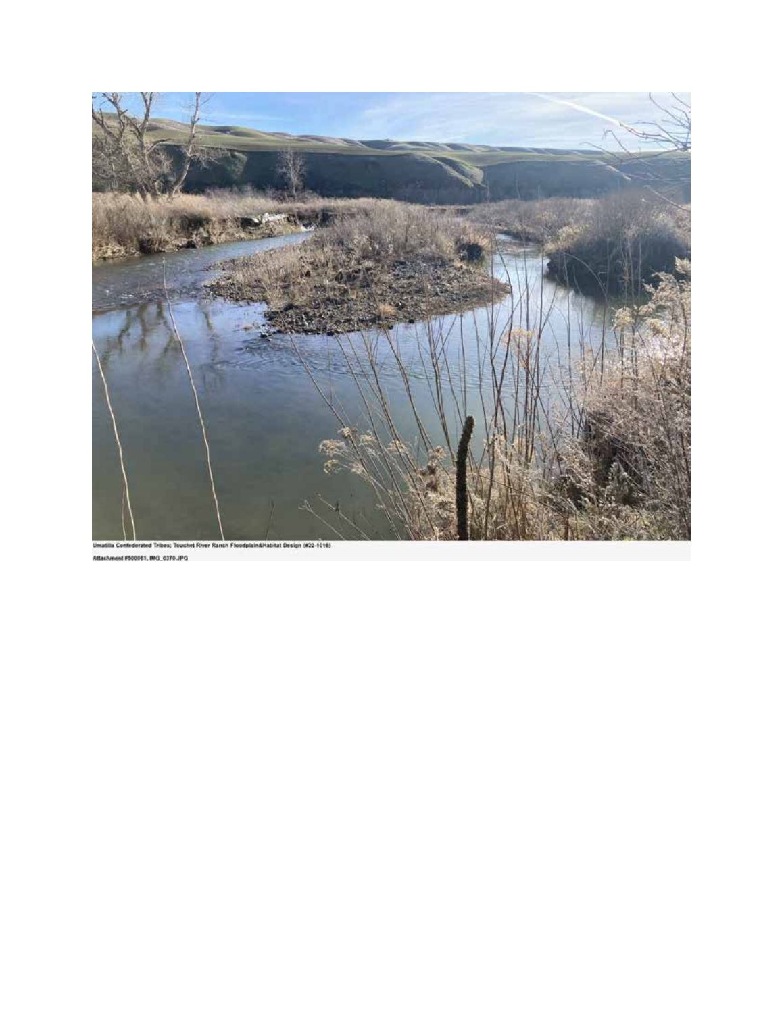

Attachment #500061, IMG\_0370.JPG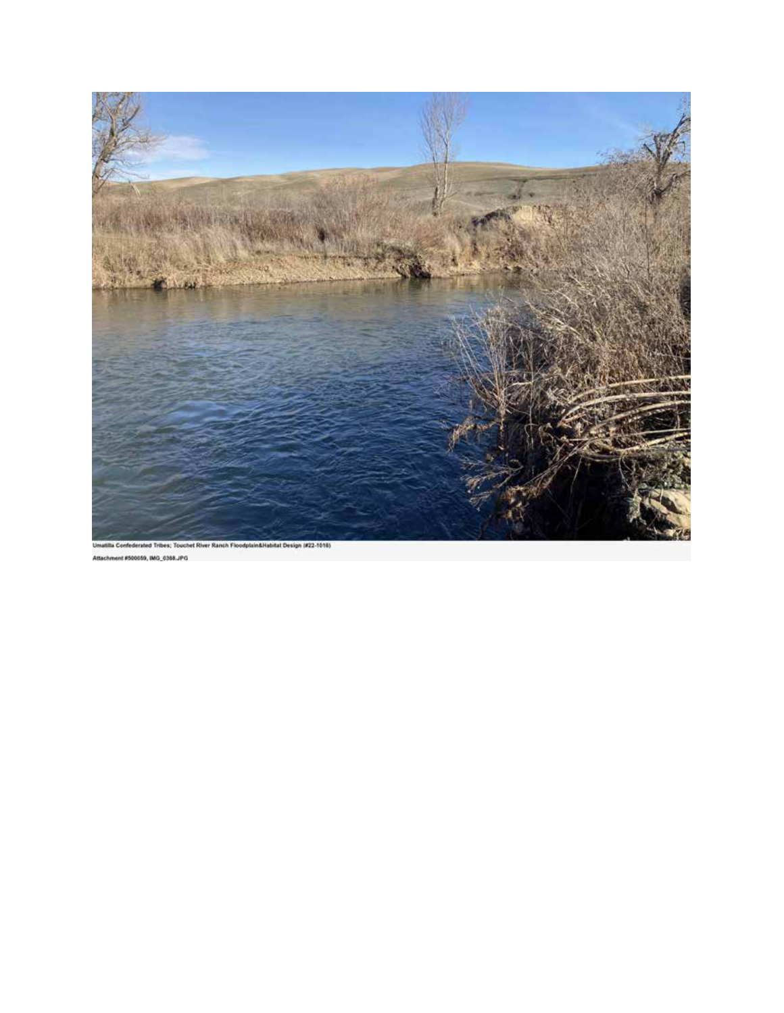

Attachment #500059, IMG\_0368.JPG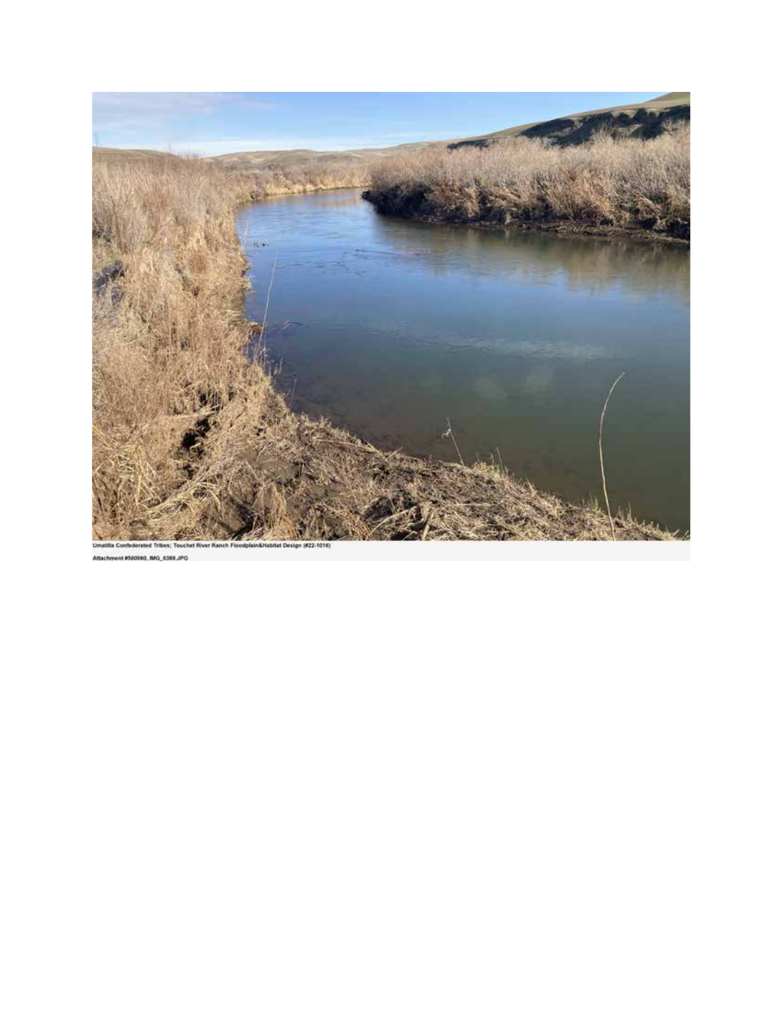

60. AG, 0369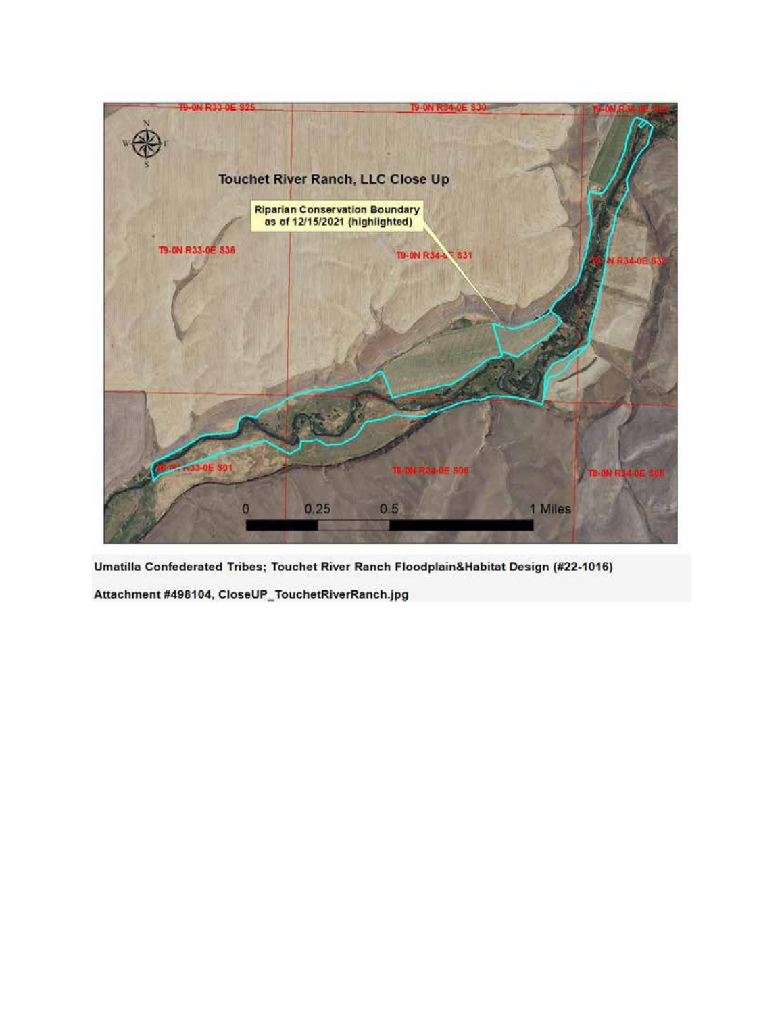

Attachment #498104, CloseUP\_TouchetRiverRanch.jpg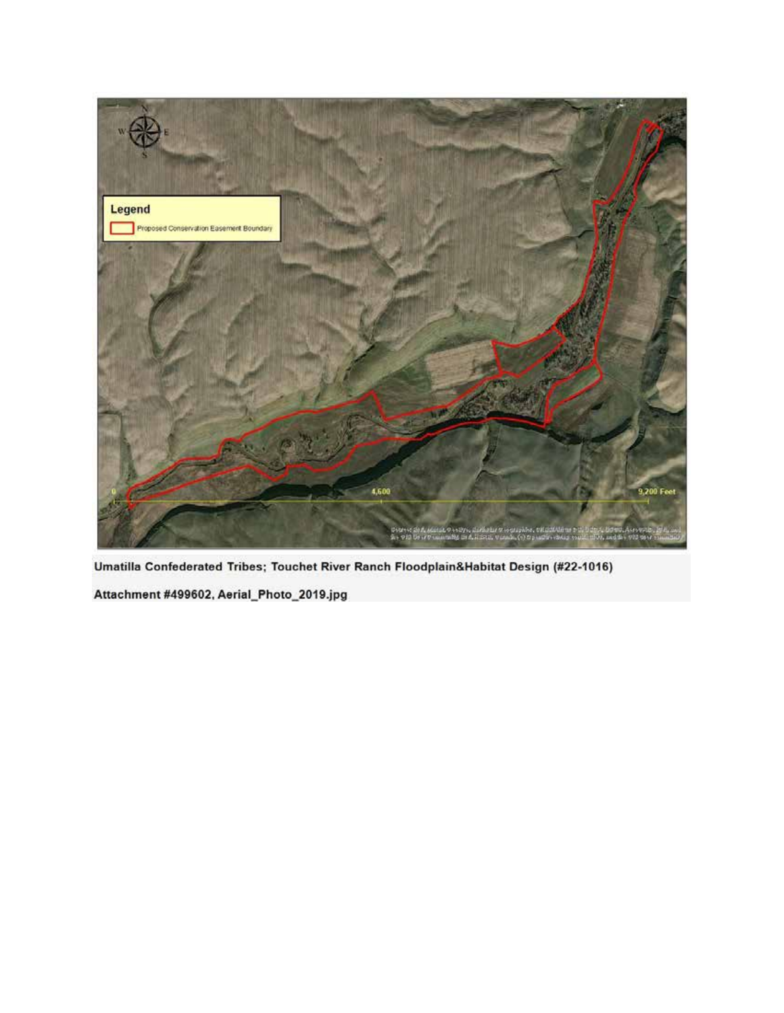

Attachment #499602, Aerial\_Photo\_2019.jpg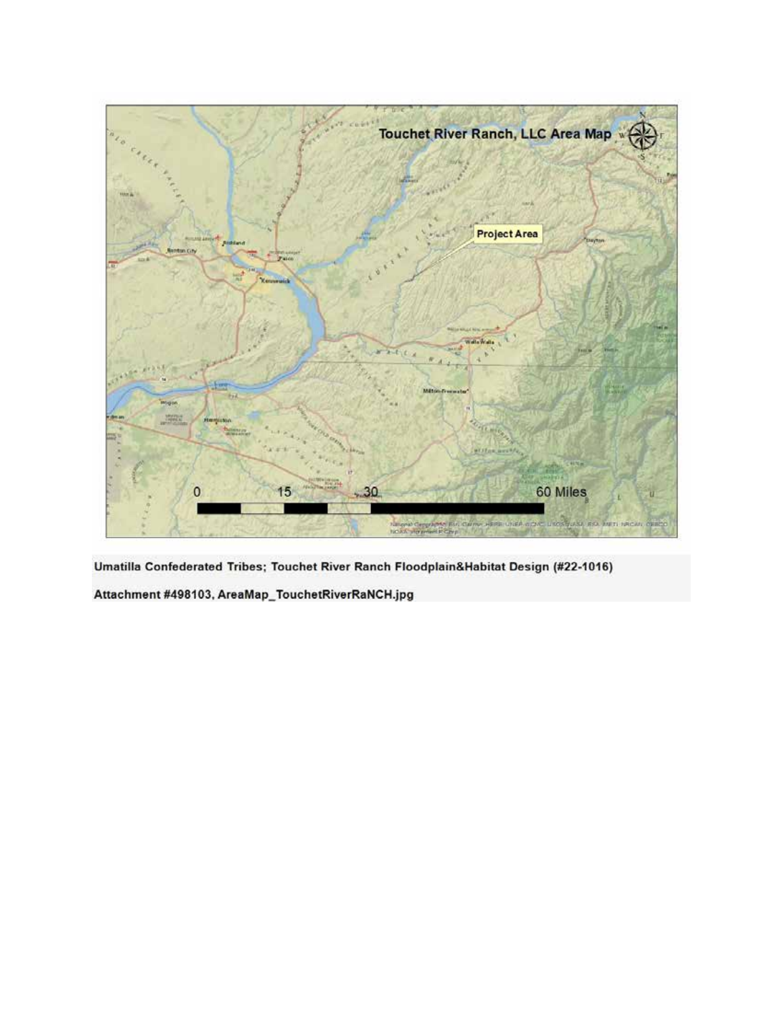

Attachment #498103, AreaMap\_TouchetRiverRaNCH.jpg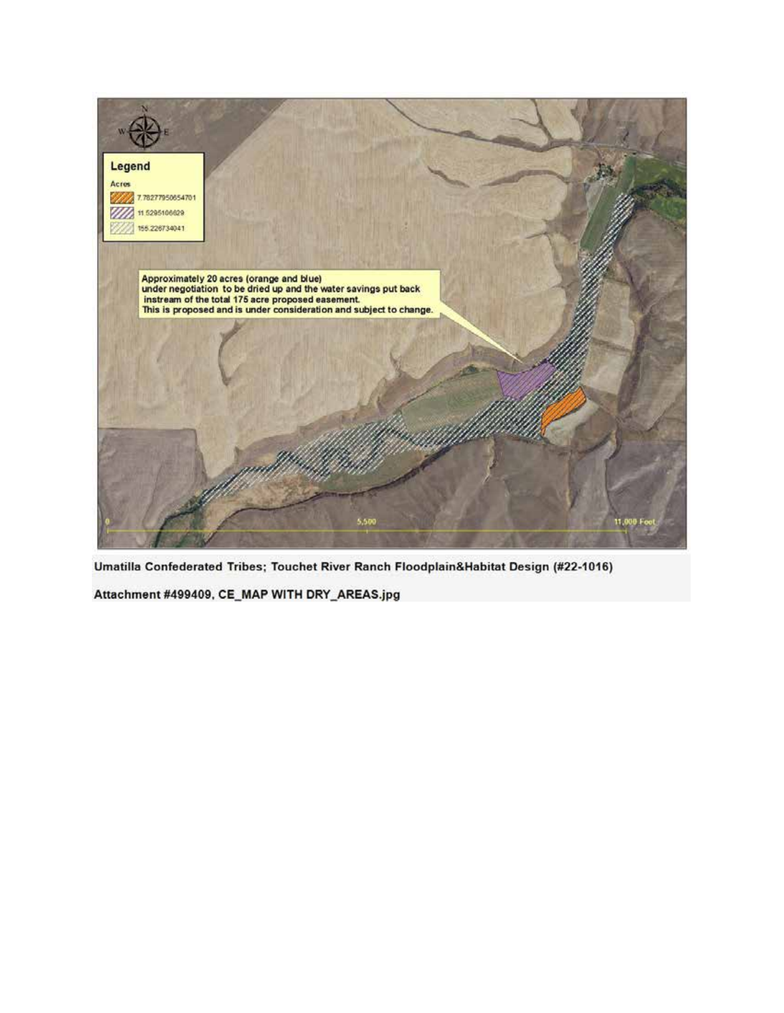

Attachment #499409, CE\_MAP WITH DRY\_AREAS.jpg